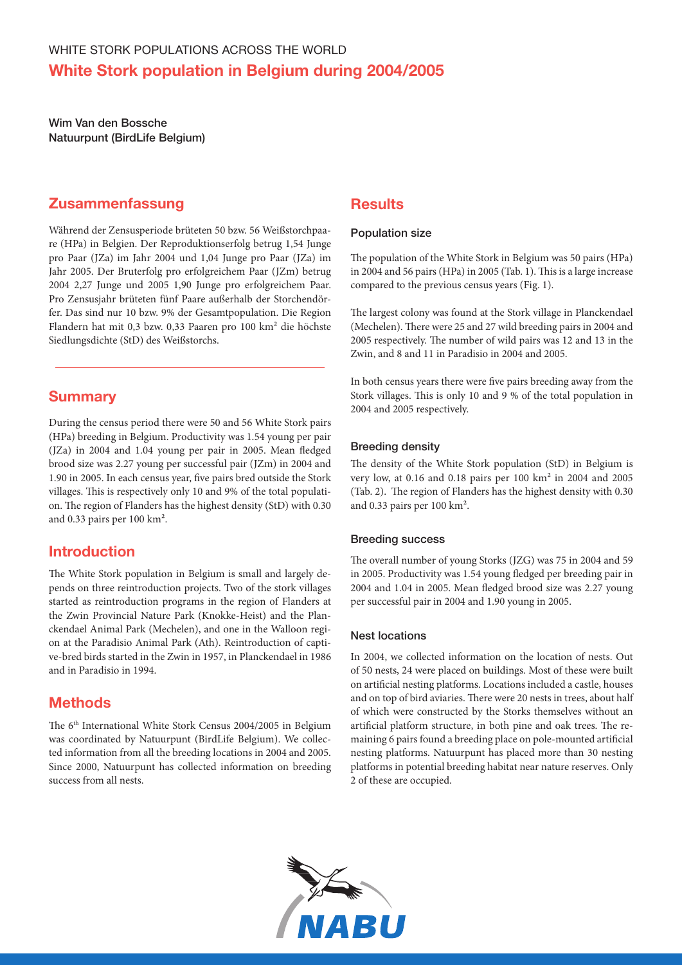Wim Van den Bossche Natuurpunt (BirdLife Belgium)

### Zusammenfassung

Während der Zensusperiode brüteten 50 bzw. 56 Weißstorchpaare (HPa) in Belgien. Der Reproduktionserfolg betrug 1,54 Junge pro Paar (JZa) im Jahr 2004 und 1,04 Junge pro Paar (JZa) im Jahr 2005. Der Bruterfolg pro erfolgreichem Paar (JZm) betrug 2004 2,27 Junge und 2005 1,90 Junge pro erfolgreichem Paar. Pro Zensusjahr brüteten fünf Paare außerhalb der Storchendörfer. Das sind nur 10 bzw. 9% der Gesamtpopulation. Die Region Flandern hat mit 0,3 bzw. 0,33 Paaren pro 100 km² die höchste Siedlungsdichte (StD) des Weißstorchs.

### **Summary**

During the census period there were 50 and 56 White Stork pairs (HPa) breeding in Belgium. Productivity was 1.54 young per pair (JZa) in 2004 and 1.04 young per pair in 2005. Mean fledged brood size was 2.27 young per successful pair (JZm) in 2004 and 1.90 in 2005. In each census year, five pairs bred outside the Stork villages. This is respectively only 10 and 9% of the total population. The region of Flanders has the highest density (StD) with 0.30 and 0.33 pairs per 100 km².

## Introduction

The White Stork population in Belgium is small and largely depends on three reintroduction projects. Two of the stork villages started as reintroduction programs in the region of Flanders at the Zwin Provincial Nature Park (Knokke-Heist) and the Planckendael Animal Park (Mechelen), and one in the Walloon region at the Paradisio Animal Park (Ath). Reintroduction of captive-bred birds started in the Zwin in 1957, in Planckendael in 1986 and in Paradisio in 1994.

# **Methods**

The 6<sup>th</sup> International White Stork Census 2004/2005 in Belgium was coordinated by Natuurpunt (BirdLife Belgium). We collected information from all the breeding locations in 2004 and 2005. Since 2000, Natuurpunt has collected information on breeding success from all nests.

### **Results**

#### Population size

The population of the White Stork in Belgium was 50 pairs (HPa) in 2004 and 56 pairs (HPa) in 2005 (Tab. 1). This is a large increase compared to the previous census years (Fig. 1).

The largest colony was found at the Stork village in Planckendael (Mechelen). There were 25 and 27 wild breeding pairs in 2004 and 2005 respectively. The number of wild pairs was 12 and 13 in the Zwin, and 8 and 11 in Paradisio in 2004 and 2005.

In both census years there were five pairs breeding away from the Stork villages. This is only 10 and 9 % of the total population in 2004 and 2005 respectively.

#### Breeding density

The density of the White Stork population (StD) in Belgium is very low, at 0.16 and 0.18 pairs per 100 km² in 2004 and 2005 (Tab. 2). The region of Flanders has the highest density with 0.30 and 0.33 pairs per 100 km².

#### Breeding success

The overall number of young Storks (JZG) was 75 in 2004 and 59 in 2005. Productivity was 1.54 young fledged per breeding pair in 2004 and 1.04 in 2005. Mean fledged brood size was 2.27 young per successful pair in 2004 and 1.90 young in 2005.

#### Nest locations

In 2004, we collected information on the location of nests. Out of 50 nests, 24 were placed on buildings. Most of these were built on artificial nesting platforms. Locations included a castle, houses and on top of bird aviaries. There were 20 nests in trees, about half of which were constructed by the Storks themselves without an artificial platform structure, in both pine and oak trees. The remaining 6 pairs found a breeding place on pole-mounted artificial nesting platforms. Natuurpunt has placed more than 30 nesting platforms in potential breeding habitat near nature reserves. Only 2 of these are occupied.